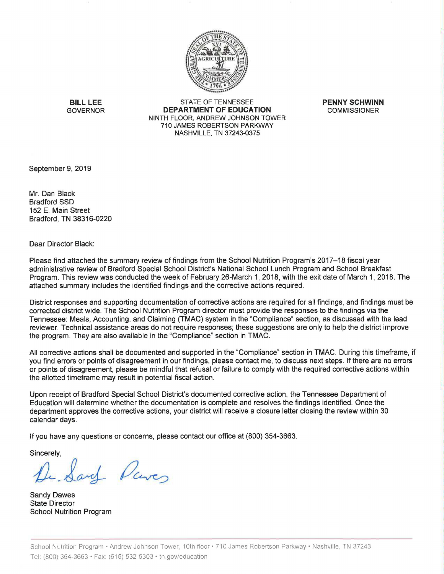

**BILL LEE** STATE OF TENNESSEE **PENNY SCHWINN**  GOVERNOR **DEPARTMENT OF EDUCATION** COMMISSIONER NINTH FLOOR, ANDREW JOHNSON TOWER 710 JAMES ROBERTSON PARKWAY NASHVILLE, TN 37243-0375

September 9, 2019

Mr. Dan Black Bradford SSD 152 E. Main Street Bradford, TN 38316-0220

Dear Director Black:

Please find attached the summary review of findings from the School Nutrition Program's 2017-18 fiscal year administrative review of Bradford Special School District's National School Lunch Program and School Breakfast Program. This review was conducted the week of February 26-March 1, 2018, with the exit date of March 1, 2018. The attached summary includes the identified findings and the corrective actions required.

District responses and supporting documentation of corrective actions are required for all findings, and findings must be corrected district wide. The School Nutrition Program director must provide the responses to the findings via the Tennessee: Meals, Accounting, and Claiming (TMAC) system in the "Compliance" section, as discussed with the lead reviewer. Technical assistance areas do not require responses; these suggestions are only to help the district improve the program. They are also available in the "Compliance" section in TMAC.

All corrective actions shall be documented and supported in the "Compliance" section in TMAC. During this timeframe, if you find errors or points of disagreement in our findings, please contact me, to discuss next steps. If there are no errors or points of disagreement, please be mindful that refusal or failure to comply with the required corrective actions within the allotted timeframe may result in potential fiscal action.

Upon receipt of Bradford Special School District's documented corrective action, the Tennessee Department of Education will determine whether the documentation is complete and resolves the findings identified. Once the department approves the corrective actions, your district will receive a closure letter closing the review within 30 calendar days.

If you have any questions or concerns, please contact our office at (800) 354-3663.

Sincerely,

and *Daves* 

Sandy Dawes State Director School Nutrition Program